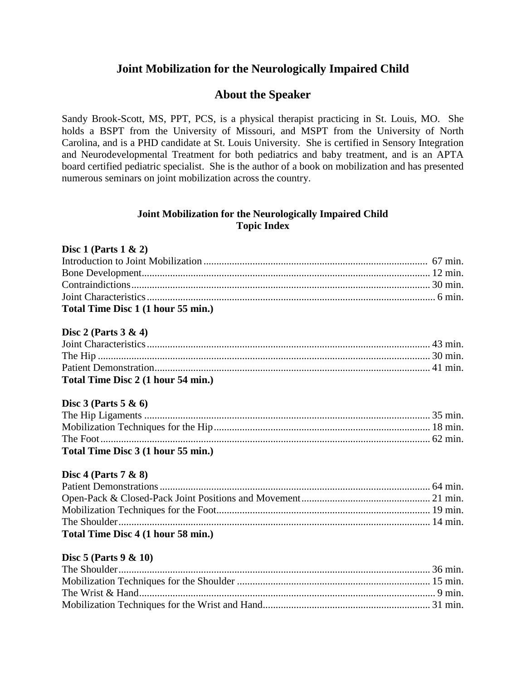# **Joint Mobilization for the Neurologically Impaired Child**

## **About the Speaker**

Sandy Brook-Scott, MS, PPT, PCS, is a physical therapist practicing in St. Louis, MO. She holds a BSPT from the University of Missouri, and MSPT from the University of North Carolina, and is a PHD candidate at St. Louis University. She is certified in Sensory Integration and Neurodevelopmental Treatment for both pediatrics and baby treatment, and is an APTA board certified pediatric specialist. She is the author of a book on mobilization and has presented numerous seminars on joint mobilization across the country.

### **Joint Mobilization for the Neurologically Impaired Child Topic Index**

#### **Disc 1 (Parts 1 & 2)**

| Total Time Disc 1 (1 hour 55 min.) |  |
|------------------------------------|--|

#### **Disc 2 (Parts 3 & 4)**

| Total Time Disc 2 (1 hour 54 min.) |  |
|------------------------------------|--|

#### **Disc 3 (Parts 5 & 6)**

| Total Time Disc 3 (1 hour 55 min.) |  |
|------------------------------------|--|

#### **Disc 4 (Parts 7 & 8)**

| Total Time Disc 4 (1 hour 58 min.) |  |
|------------------------------------|--|

#### **Disc 5 (Parts 9 & 10)**